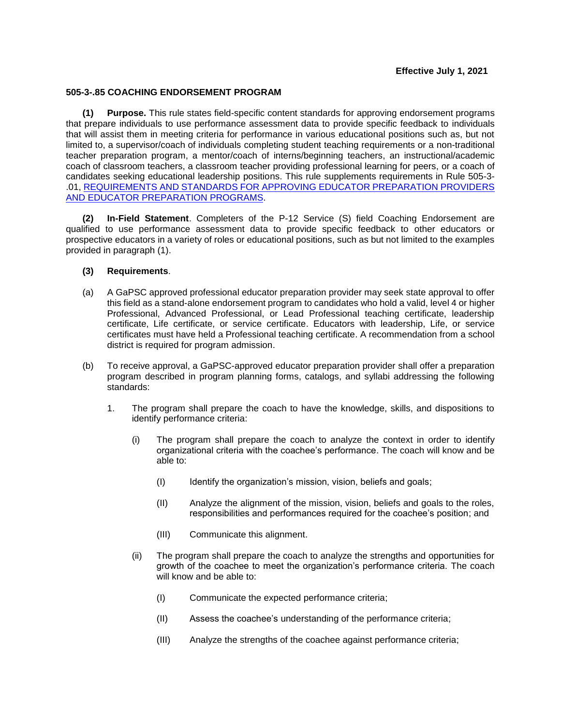## **Effective July 1, 2021**

## **505-3-.85 COACHING ENDORSEMENT PROGRAM**

**(1) Purpose.** This rule states field-specific content standards for approving endorsement programs that prepare individuals to use performance assessment data to provide specific feedback to individuals that will assist them in meeting criteria for performance in various educational positions such as, but not limited to, a supervisor/coach of individuals completing student teaching requirements or a non-traditional teacher preparation program, a mentor/coach of interns/beginning teachers, an instructional/academic coach of classroom teachers, a classroom teacher providing professional learning for peers, or a coach of candidates seeking educational leadership positions. This rule supplements requirements in [Rule 505-3-](https://www.gapsc.com/Rules/Current/EducatorPreparation/505-3-.01.pdf?dt=%3C%25#Eval() [.01, REQUIREMENTS AND STANDARDS FOR APPROVING EDUCATOR PREPARATION PROVIDERS](https://www.gapsc.com/Rules/Current/EducatorPreparation/505-3-.01.pdf?dt=%3C%25#Eval()  [AND EDUCATOR PREPARATION PROGRAMS.](https://www.gapsc.com/Rules/Current/EducatorPreparation/505-3-.01.pdf?dt=%3C%25#Eval()

**(2) In-Field Statement**. Completers of the P-12 Service (S) field Coaching Endorsement are qualified to use performance assessment data to provide specific feedback to other educators or prospective educators in a variety of roles or educational positions, such as but not limited to the examples provided in paragraph (1).

## **(3) Requirements**.

- (a) A GaPSC approved professional educator preparation provider may seek state approval to offer this field as a stand-alone endorsement program to candidates who hold a valid, level 4 or higher Professional, Advanced Professional, or Lead Professional teaching certificate, leadership certificate, Life certificate, or service certificate. Educators with leadership, Life, or service certificates must have held a Professional teaching certificate. A recommendation from a school district is required for program admission.
- (b) To receive approval, a GaPSC-approved educator preparation provider shall offer a preparation program described in program planning forms, catalogs, and syllabi addressing the following standards:
	- 1. The program shall prepare the coach to have the knowledge, skills, and dispositions to identify performance criteria:
		- (i) The program shall prepare the coach to analyze the context in order to identify organizational criteria with the coachee's performance. The coach will know and be able to:
			- (I) Identify the organization's mission, vision, beliefs and goals;
			- (II) Analyze the alignment of the mission, vision, beliefs and goals to the roles, responsibilities and performances required for the coachee's position; and
			- (III) Communicate this alignment.
		- (ii) The program shall prepare the coach to analyze the strengths and opportunities for growth of the coachee to meet the organization's performance criteria. The coach will know and be able to:
			- (I) Communicate the expected performance criteria;
			- (II) Assess the coachee's understanding of the performance criteria;
			- (III) Analyze the strengths of the coachee against performance criteria;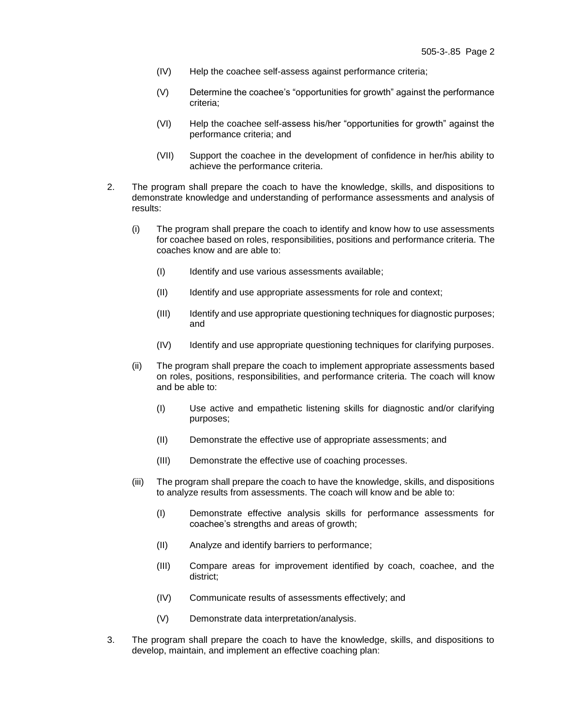- (IV) Help the coachee self-assess against performance criteria;
- (V) Determine the coachee's "opportunities for growth" against the performance criteria;
- (VI) Help the coachee self-assess his/her "opportunities for growth" against the performance criteria; and
- (VII) Support the coachee in the development of confidence in her/his ability to achieve the performance criteria.
- 2. The program shall prepare the coach to have the knowledge, skills, and dispositions to demonstrate knowledge and understanding of performance assessments and analysis of results:
	- (i) The program shall prepare the coach to identify and know how to use assessments for coachee based on roles, responsibilities, positions and performance criteria. The coaches know and are able to:
		- (I) Identify and use various assessments available;
		- (II) Identify and use appropriate assessments for role and context;
		- (III) Identify and use appropriate questioning techniques for diagnostic purposes; and
		- (IV) Identify and use appropriate questioning techniques for clarifying purposes.
	- (ii) The program shall prepare the coach to implement appropriate assessments based on roles, positions, responsibilities, and performance criteria. The coach will know and be able to:
		- (I) Use active and empathetic listening skills for diagnostic and/or clarifying purposes;
		- (II) Demonstrate the effective use of appropriate assessments; and
		- (III) Demonstrate the effective use of coaching processes.
	- (iii) The program shall prepare the coach to have the knowledge, skills, and dispositions to analyze results from assessments. The coach will know and be able to:
		- (I) Demonstrate effective analysis skills for performance assessments for coachee's strengths and areas of growth;
		- (II) Analyze and identify barriers to performance;
		- (III) Compare areas for improvement identified by coach, coachee, and the district;
		- (IV) Communicate results of assessments effectively; and
		- (V) Demonstrate data interpretation/analysis.
- 3. The program shall prepare the coach to have the knowledge, skills, and dispositions to develop, maintain, and implement an effective coaching plan: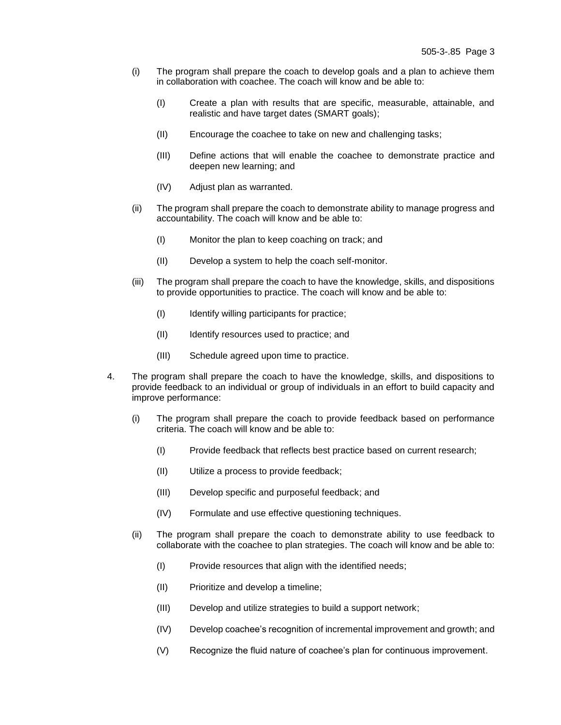- (i) The program shall prepare the coach to develop goals and a plan to achieve them in collaboration with coachee. The coach will know and be able to:
	- (I) Create a plan with results that are specific, measurable, attainable, and realistic and have target dates (SMART goals);
	- (II) Encourage the coachee to take on new and challenging tasks;
	- (III) Define actions that will enable the coachee to demonstrate practice and deepen new learning; and
	- (IV) Adjust plan as warranted.
- (ii) The program shall prepare the coach to demonstrate ability to manage progress and accountability. The coach will know and be able to:
	- (I) Monitor the plan to keep coaching on track; and
	- (II) Develop a system to help the coach self-monitor.
- (iii) The program shall prepare the coach to have the knowledge, skills, and dispositions to provide opportunities to practice. The coach will know and be able to:
	- (I) Identify willing participants for practice;
	- (II) Identify resources used to practice; and
	- (III) Schedule agreed upon time to practice.
- 4. The program shall prepare the coach to have the knowledge, skills, and dispositions to provide feedback to an individual or group of individuals in an effort to build capacity and improve performance:
	- (i) The program shall prepare the coach to provide feedback based on performance criteria. The coach will know and be able to:
		- (I) Provide feedback that reflects best practice based on current research;
		- (II) Utilize a process to provide feedback;
		- (III) Develop specific and purposeful feedback; and
		- (IV) Formulate and use effective questioning techniques.
	- (ii) The program shall prepare the coach to demonstrate ability to use feedback to collaborate with the coachee to plan strategies. The coach will know and be able to:
		- (I) Provide resources that align with the identified needs;
		- (II) Prioritize and develop a timeline;
		- (III) Develop and utilize strategies to build a support network;
		- (IV) Develop coachee's recognition of incremental improvement and growth; and
		- (V) Recognize the fluid nature of coachee's plan for continuous improvement.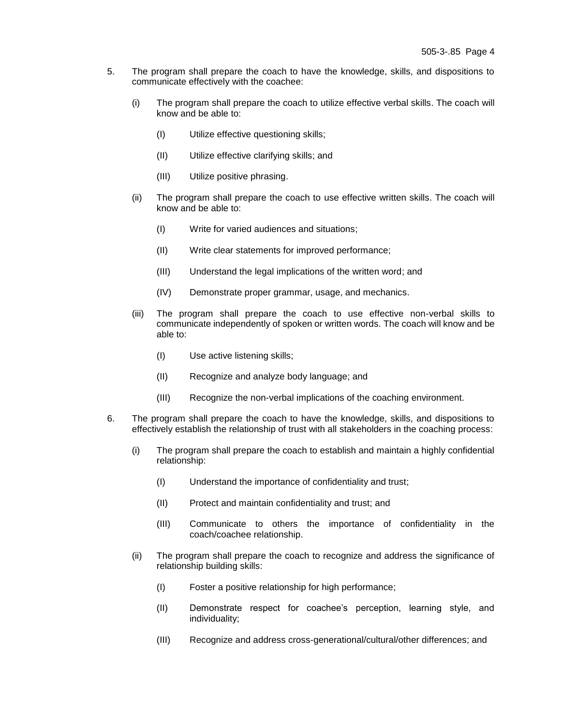- 5. The program shall prepare the coach to have the knowledge, skills, and dispositions to communicate effectively with the coachee:
	- (i) The program shall prepare the coach to utilize effective verbal skills. The coach will know and be able to:
		- (I) Utilize effective questioning skills;
		- (II) Utilize effective clarifying skills; and
		- (III) Utilize positive phrasing.
	- (ii) The program shall prepare the coach to use effective written skills. The coach will know and be able to:
		- (I) Write for varied audiences and situations;
		- (II) Write clear statements for improved performance;
		- (III) Understand the legal implications of the written word; and
		- (IV) Demonstrate proper grammar, usage, and mechanics.
	- (iii) The program shall prepare the coach to use effective non-verbal skills to communicate independently of spoken or written words. The coach will know and be able to:
		- (I) Use active listening skills;
		- (II) Recognize and analyze body language; and
		- (III) Recognize the non-verbal implications of the coaching environment.
- 6. The program shall prepare the coach to have the knowledge, skills, and dispositions to effectively establish the relationship of trust with all stakeholders in the coaching process:
	- (i) The program shall prepare the coach to establish and maintain a highly confidential relationship:
		- (I) Understand the importance of confidentiality and trust;
		- (II) Protect and maintain confidentiality and trust; and
		- (III) Communicate to others the importance of confidentiality in the coach/coachee relationship.
	- (ii) The program shall prepare the coach to recognize and address the significance of relationship building skills:
		- (I) Foster a positive relationship for high performance;
		- (II) Demonstrate respect for coachee's perception, learning style, and individuality;
		- (III) Recognize and address cross-generational/cultural/other differences; and